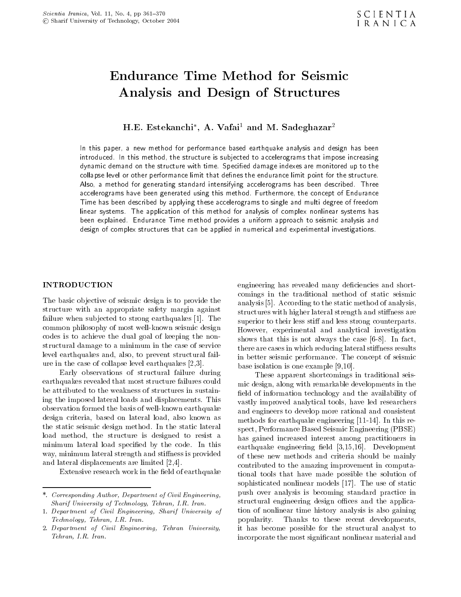# Analysis and Design of Structures

H.E. Estekanchi , A. Vafai1 and M. Sadeghazar2

In this paper, <sup>a</sup> new method for performance based earthquake analysis and design has been introduced. In this method, the structure is subjected to accelerograms that impose increasing dynamic demand on the structure with time. Specified damage indexes are monitored up to the collapse level or other performance limit that defines the endurance limit point for the structure. Also, <sup>a</sup> method for generating standard intensifying accelerograms has been described. Three accelerograms have been generated using this method. Furthermore, the concept of Endurance Time has been described by applying these accelerograms to single and multi degree of freedom linear systems. The application of this method for analysis of complex nonlinear systems has been explained. Endurance Time method provides a uniform approach to seismic analysis and design of complex structures that can be applied in numerical and experimental investigations.

# INTRODUCTION

The basic objective of seismic design is to provide the structure with an appropriate safety margin against failure when sub jected to strong earthquakes [1]. The common philosophy of most well-known seismic design codes is to achieve the dual goal of keeping the nonstructural damage to a minimum in the case of service level earthquakes and, also, to prevent structural failure in the case of collapse level earthquakes [2,3].

Early observations of structural failure during earthquakes revealed that most structure failures could be attributed to the weakness of structures in sustaining the imposed lateral loads and displacements. This observation formed the basis of well-known earthquake design criteria, based on lateral load, also known as the static seismic design method. In the static lateral load method, the structure is designed to resist <sup>a</sup> minimum lateral load specied by the code. In this way, minimum lateral strength and stiffness is provided and lateral displacements are limited [2,4].

Extensive research work in the field of earthquake

engineering has revealed many deficiencies and shortcomings in the traditional method of static seismic analysis [5]. According to the static method of analysis, structures with higher lateral strength and stiffness are superior to their less stiff and less strong counterparts. However, experimental and analytical investigation shows that this is not always the case [6-8]. In fact, there are cases in which reducing lateral stiffness results in better seismic performance. The concept of seismic base isolation is one example [9,10].

These apparent shortcomings in traditional seismic design, along with remarkable developments in the field of information technology and the availability of vastly improved analytical tools, have led researchers and engineers to develop more rational and consistent methods for earthquake engineering [11-14]. In this respect, Performance Based Seismic Engineering (PBSE) has gained increased interest among practitioners in earthquake engineering field  $[3,15,16]$ . Development of these new methods and criteria should be mainly contributed to the amazing improvement in computational tools that have made possible the solution of sophisticated nonlinear models [17]. The use of static push over analysis is becoming standard practice in structural engineering design offices and the application of nonlinear time history analysis is also gaining popularity. Thanks to these recent developments, it has become possible for the structural analyst to incorporate the most signicant nonlinear material and

<sup>\*.</sup> Corresponding Author, Department of Civil Engineering, Sharif University of Technology, Tehran, I.R. Iran.

<sup>1.</sup> Department of Civil Engineering, Sharif University of Technology, Tehran, I.R. Iran.

<sup>2.</sup> Department of Civil Engineering, Tehran University, Tehran, I.R. Iran.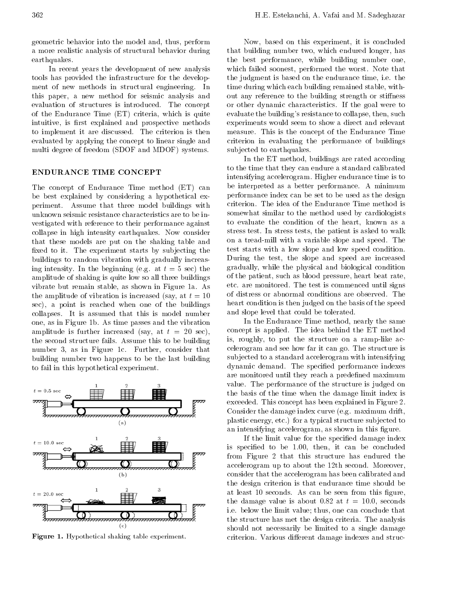geometric behavior into the model and, thus, perform <sup>a</sup> more realistic analysis of structural behavior during earthquakes. earth and the control of the control of the control of the control of the control of the control of the control of the control of the control of the control of the control of the control of the control of the control of th

In recent years the development of new analysis tools has provided the infrastructure for the development of new methods in structural engineering. In this paper, <sup>a</sup> new method for seismic analysis and evaluation of structures is introduced. The concept of the Endurance Time (ET) criteria, which is quite intuitive, is first explained and prospective methods to implement it are discussed. The criterion is then evaluated by applying the concept to linear single and multi degree of freedom (SDOF and MDOF) systems.

### ENDURANCE TIME CONCEPT

The concept of Endurance Time method (ET) can be best explained by considering <sup>a</sup> hypothetical experiment. Assume that three model buildings with unknown seismic resistance characteristics are to be investigated with reference to their performance against collapse in high intensity earthquakes. Now consider that these models are put on the shaking table and fixed to it. The experiment starts by subjecting the buildings to random vibration with gradually increasing intensity. In the beginning (e.g. at  $t = 5$  sec) the amplitude of shaking is quite low so all three buildings vibrate but remain stable, as shown in Figure 1a. As the amplitude of vibration is increased (say, at  $t = 10$ ) sec), <sup>a</sup> point is reached when one of the buildings collapses. It is assumed that this is model number one, as in Figure 1b. As time passes and the vibration amplitude is further increased (say, at  $t = 20$  sec), the second structure fails. Assume this to be building number 3, as in Figure 1c. Further, consider that building number two happens to be the last building to fail in this hypothetical experiment.



Figure 1. Hypothetical shaking table experiment.

Now, based on this experiment, it is concluded that building number two, which endured longer, has the best performance, while building number one, which failed soonest, performed the worst. Note that the judgment is based on the endurance time, i.e. the time during which each building remained stable, without any reference to the building strength or stiffness or other dynamic characteristics. If the goal were to evaluate the building's resistance to collapse, then, such experiments would seem to show a direct and relevant measure. This is the concept of the Endurance Time criterion in evaluating the performance of buildings subjected to earthquakes.

In the ET method, buildings are rated according to the time that they can endure a standard calibrated intensifying accelerogram. Higher endurance time is to be interpreted as <sup>a</sup> better performance. <sup>A</sup> minimum performance index can be set to be used as the design criterion. The idea of the Endurance Time method is somewhat similar to the method used by cardiologists to evaluate the condition of the heart, known as <sup>a</sup> stress test. In stress tests, the patient is asked to walk on <sup>a</sup> tread-mill with <sup>a</sup> variable slope and speed. The test starts with <sup>a</sup> low slope and low speed condition. During the test, the slope and speed are increased gradually, while the physical and biological condition of the patient, such as blood pressure, heart beat rate, etc. are monitored. The test is commenced until signs of distress or abnormal conditions are observed. The heart condition is then judged on the basis of the speed and slope level that could be tolerated.

In the Endurance Time method, nearly the same concept is applied. The idea behind the ET method is, roughly, to put the structure on <sup>a</sup> ramp-like accelerogram and see how far it can go. The structure is subjected to a standard accelerogram with intensifying dynamic demand. The specied performance indexes are monitored until they reach a predefined maximum value. The performance of the structure is judged on the basis of the time when the damage limit index is exceeded. This concept has been explained in Figure 2. Consider the damage index curve (e.g. maximum drift, plastic energy, etc.) for a typical structure subjected to an intensifying accelerogram, as shown in this figure.

If the limit value for the specied damage index is specied to be 1.00, then, it can be concluded from Figure <sup>2</sup> that this structure has endured the accelerogram up to about the 12th second. Moreover, consider that the accelerogram has been calibrated and the design criterion is that endurance time should be at least 10 seconds. As can be seen from this figure, the damage value is about 0.82 at  $t = 10.0$ , seconds i.e. below the limit value; thus, one can conclude that the structure has met the design criteria. The analysis should not necessarily be limited to <sup>a</sup> single damage criterion. Various different damage indexes and struc-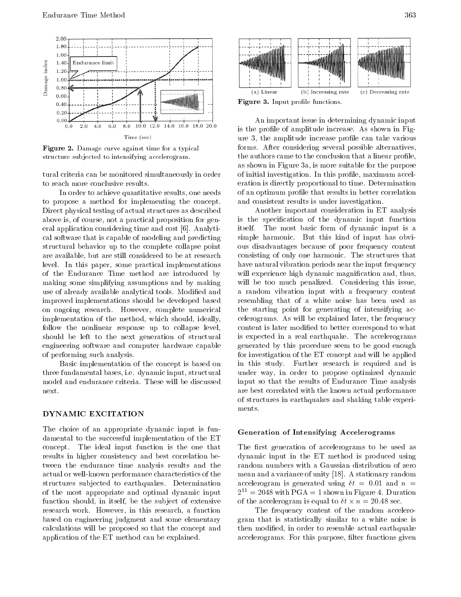

Figure 2. Damage curve against time for a typical structure sub jected to intensifying accelerogram.

tural criteria can be monitored simultaneously in order to reach more conclusive results.

In order to achieve quantitative results, one needs to propose <sup>a</sup> method for implementing the concept. Direct physical testing of actual structures as described above is, of course, not a practical proposition for general application considering time and cost [6]. Analytical software that is capable of modeling and predicting structural behavior up to the complete collapse point are available, but are still considered to be at research level. In this paper, some practical implementations of the Endurance Time method are introduced by making some simplifying assumptions and by making use of already available analytical tools. Modied and improved implementations should be developed based on ongoing research. However, complete numerical implementation of the method, which should, ideally, follow the nonlinear response up to collapse level, should be left to the next generation of structural engineering software and computer hardware capable of performing such analysis.

Basic implementation of the concept is based on three fundamental bases, i.e. dynamic input, structural model and endurance criteria. These will be discussed next.

The choice of an appropriate dynamic input is fundamental to the successful implementation of the ET concept. The ideal input function is the one that results in higher consistency and best correlation between the endurance time analysis results and the actual or well-known performance characteristics of the structures subjected to earthquakes. Determination of the most appropriate and optimal dynamic input function should, in itself, be the subject of extensive research work. However, in this research, <sup>a</sup> function based on engineering judgment and some elementary calculations will be proposed so that the concept and application of the ET method can be explained.



Figure 3. Input prole functions.

An important issue in determining dynamic input is the profile of amplitude increase. As shown in Figure 3, the amplitude increase prole can take various forms. After considering several possible alternatives, the authors came to the conclusion that a linear profile, as shown in Figure 3a, is more suitable for the purpose of initial investigation. In this profile, maximum acceleration is directly proportional to time. Determination of an optimum prole that results in better correlation and consistent results is under investigation.

Another important consideration in ET analysis is the specification of the dynamic input function itself. The most basic form of dynamic input is <sup>a</sup> simple harmonic. But this kind of input has obvious disadvantages because of poor frequency content consisting of only one harmonic. The structures that have natural vibration periods near the input frequency will experience high dynamic magnification and, thus, will be too much penalized. Considering this issue, <sup>a</sup> random vibration input with <sup>a</sup> frequency content resembling that of <sup>a</sup> white noise has been used as the starting point for generating of intensifying accelerograms. As will be explained later, the frequency content is later modied to better correspond to what is expected in <sup>a</sup> real earthquake. The accelerograms generated by this procedure seem to be good enough for investigation of the ET concept and will be applied in this study. Further research is required and is under way, in order to propose optimized dynamic input so that the results of Endurance Time analysis are best correlated with the known actual performance of structures in earthquakes and shaking table experiments.

### Generation of Intensifying Accelerograms

The first generation of accelerograms to be used as dynamic input in the ET method is produced using random numbers with a Gaussian distribution of zero mean and a variance of unity [18]. A stationary random accelerogram is generated using  $\delta t = 0.01$  and  $n =$  $2^{11} = 2048$  with PGA = 1 shown in Figure 4. Duration of the accelerogram is equal to the accelerogram is equal to the accelerogram is equal to the sec.

The frequency content of the random accelerogram that is statistically similar to <sup>a</sup> white noise is then modied, in order to resemble actual earthquake accelerograms. For this purpose, filter functions given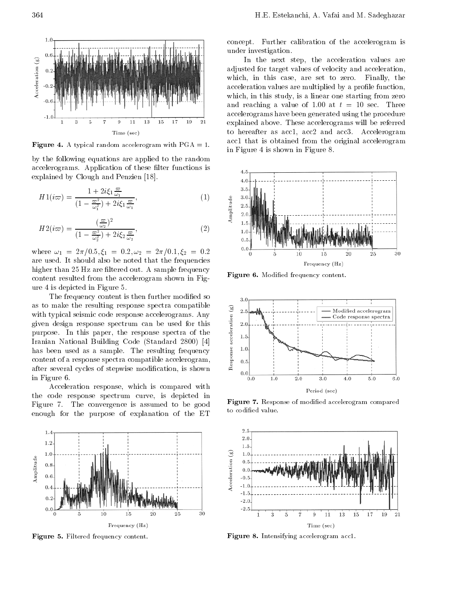

Figure 4. A typical random accelerogram with PGA = 1.

by the following equations are applied to the random accelerograms. Application of these filter functions is explained by Clough and Penzien [18].

$$
H1(i\varpi) = \frac{1 + 2i\xi_1 \frac{\varpi}{\omega_1}}{(1 - \frac{\varpi^2}{\omega_1^2}) + 2i\xi_1 \frac{\varpi}{\omega_1}},\tag{1}
$$

$$
H2(i\varpi) = \frac{(\frac{\varpi}{\omega_2})^2}{(1 - \frac{\varpi^2}{\omega_2^2}) + 2i\xi_2 \frac{\varpi}{\omega_2}},\tag{2}
$$

where  $\omega_1 = 2\pi/0.5$ ,  $\xi_1 = 0.2$ ,  $\omega_2 = 2\pi/0.1$ ,  $\xi_2 = 0.2$ are used. It should also be noted that the frequencies higher than 25 Hz are filtered out. A sample frequency content resulted from the accelerogram shown in Figure 4 is depicted in Figure 5.

The frequency content is then further modified so as to make the resulting response spectra compatible<br>with typical seismic code response accelerograms. Any<br>given design response spectrum can be used for this<br>purpose. In this paper, the response spectra of the<br>Iranian Na with typical seismic code response accelerograms. Any given design response spectrum canbe used for this purpose. In this paper, the response spectra of the Iranian National Building Code (Standard 2800) [4] has been used as <sup>a</sup> sample. The resulting frequency content of a response spectra compatible accelerogram, after several cycles of stepwise modification, is shown  $\tilde{\Xi}_{0,0}$ in Figure 6.

Acceleration response, which is compared with the code response spectrum curve, is depicted in Figure 7. The convergence is assumed to be good enough for the purpose of explanation of the ET



Figure 5. Filtered frequency content.

concept. Further calibration of the accelerogram is under investigation.

In the next step, the acceleration values are adjusted for target values of velocity and acceleration, which, in this case, are set to zero. Finally, the acceleration values are multiplied by a profile function, which, in this study, is a linear one starting from zero and reaching a value of 1.00 at  $t = 10$  sec. Three accelerograms have been generated using the procedure explained above. These accelerograms will be referred to hereafter as acc1, acc2 and acc3. Accelerogram acc1 that is obtained from the original accelerogram in Figure 4 is shown in Figure 8.



Figure 6. Modied frequency content.



Figure 7. Response of modied accelerogram compared to codified value.



 $\mathbf{F}$  is a set of  $\mathbf{F}$  intensifying acceleration acceleration acceleration acceleration and  $\mathbf{F}$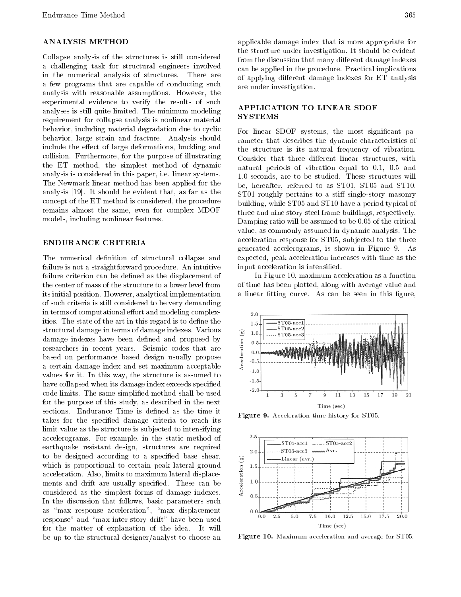# ANALYSIS METHOD

Collapse analysis of the structures is still considered <sup>a</sup> challenging task for structural engineers involved in the numerical analysis of structures. There are <sup>a</sup> few programs that are capable of conducting such analysis with reasonable assumptions. However, the experimental evidence to verify the results of such analyses is still quite limited. The minimum modeling requirement for collapse analysis is nonlinear material behavior, including material degradation due to cyclic behavior, large strain and fracture. Analysis should include the effect of large deformations, buckling and collision. Furthermore, for the purpose of illustrating the ET method, the simplest method of dynamic analysis is considered in this paper, i.e. linear systems. The Newmark linear method has been applied for the analysis [19]. It should be evident that, as far as the concept of the ET method is considered, the procedure remains almost the same, even for complex MDOF models, including nonlinear features.

The numerical definition of structural collapse and failure is not a straightforward procedure. An intuitive failure criterion can be defined as the displacement of the center of mass of the structure to a lower level from its initial position. However, analytical implementation of such criteria is still considered to be very demanding in terms of computational effort and modeling complexities. The state of the art in this regard is to define the structural damage in terms of damage indexes. Various<br>damage indexes have been defined and proposed by<br>researchers in recent years. Seismic codes that are<br>based on performance based design usually propose<br>a certain damage damage indexes have been defined and proposed by researchers in recent years. Seismic codes that are based on performance based design usually propose <sup>a</sup> certain damage index and set maximum acceptable values for it. In this way, the structure is assumed to have collapsed when its damage index exceeds specified<br>
and in the case of the case of the case of the case of the case of the case of the case of the case of the case of the case of the case of the case of the case of the code limits. The same simplied method shall be used for the purpose of this study, as described in the next sections. Endurance Time is defined as the time it takes for the specied damage criteria to reach its limit value as the structure is subjected to intensifying accelerograms. For example, in the static method of earthquake resistant design, structures are required to be designed according to a specified base shear, to be designed according to a specified base shear,<br>which is proportional to certain peak lateral ground<br>acceleration. Also, limits to maximum lateral displace-<br>ments and drift are usually specified. These can be<br>consider acceleration. Also, limits to maximum lateral displacements and drift are usually specified. These can be considered as the simplest forms of damage indexes. In the discussion that follows, basic parameters such as "max response acceleration", "max displacement response" and \max inter-story drift" have been used for the matter of explanation of the idea. It will be up to the structural designer/analyst to choose an

applicable damage index that is more appropriate for the structure under investigation. It should be evident from the discussion that many different damage indexes can be applied in the procedure. Practical implications of applying different damage indexes for ET analysis are under investigation.

# APPLICATION TO LINEAR SDOF SYSTEMS

For linear SDOF systems, the most significant parameter that describes the dynamic characteristics of the structure is its natural frequency of vibration. Consider that three different linear structures, with natural periods of vibration equal to 0.1, 0.5 and 1.0 seconds, are to be studied. These structures will be, hereafter, referred to as ST01, ST05 and ST10. ST01 roughly pertains to a stiff single-story masonry building, while ST05 and ST10 have a period typical of three and nine story steel frame buildings, respectively. Damping ratio will be assumed to be 0.05 of the critical value, as commonly assumed in dynamic analysis. The acceleration response for ST05, sub jected to the three generated accelerograms, is shown in Figure 9. As expected, peak acceleration increases with time as the input acceleration is intensied.

In Figure 10, maximum acceleration as a function of time has been plotted, along with average value and a linear fitting curve. As can be seen in this figure,



Figure 9. Acceleration time-history for ST05.



Figure 10. Maximum acceleration and average for ST05.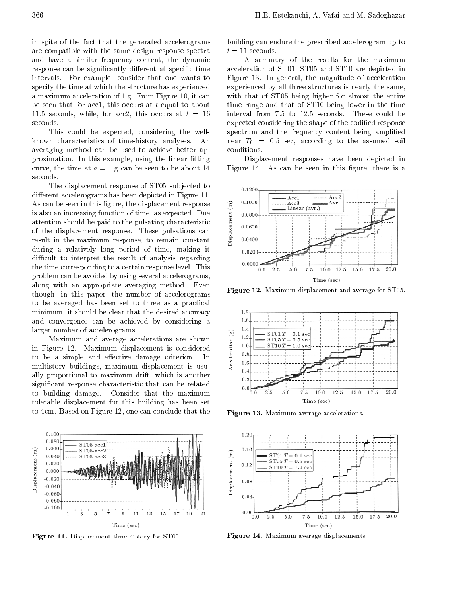in spite of the fact that the generated accelerograms are compatible with the same design response spectra and have <sup>a</sup> similar frequency content, the dynamic response can be significantly different at specific time intervals. For example, consider that one wants to specify the time at which the structure has experienced <sup>a</sup> maximum acceleration of 1 g. From Figure 10, it can be seen that for acc1, this occurs at  $t$  equal to about 11.5 seconds, while, for acc2, this occurs at  $t = 16$ seconds.

This could be expected, considering the wellknown characteristics of time-history analyses. An averaging method can be used to achieve better approximation. In this example, using the linear fitting curve, the time at  $a = 1$  g can be seen to be about 14 seconds.

The displacement response of ST05 subjected to different accelerograms has been depicted in Figure 11. As can be seen in this figure, the displacement response<br>is also an increasing function of time, as expected. Due<br>attention should be paid to the pulsating characteristic<br>of the displacement response. These pulsations can is also an increasing function of time, as expected. Due attention should be paid to the pulsating characteristic of the displacement response. These pulsations can result in the maximum response, to remain constant during <sup>a</sup> relatively long period of time, making it difficult to interpret the result of analysis regarding the time corresponding to a certain response level. This problem can be avoided by using several accelerograms, along with an appropriate averaging method. Even though, in this paper, the number of accelerograms to be averaged has been set to three as <sup>a</sup> practical minimum, it should be clear that the desired accuracy and convergence can be achieved by considering <sup>a</sup> larger number of accelerograms.

Frammber of accelerograms.<br>
Maximum and average accelerations are shown<br>
igure 12. Maximum displacement is considered<br>
e a simple and effective damage criterion. In<br>
istory buildings, maximum displacement is usuin Figure 12. Maximum displacement is considered  $\frac{10}{3}$   $\frac{10}{3}$  0.8 to be a simple and effective damage criterion. In  $\frac{3}{8}$   $\frac{0.8}{0.6}$ multistory buildings, maximum displacement is usually proportional to maximum drift, which is another significant response characteristic that can be related to building damage. Consider that the maximum tolerable displacement for this building has been set to 4cm. Based on Figure 12, one can conclude that the



Figure 11. Displacement time-history for ST05.

building can endure the prescribed accelerogram up to  $t = 11$  seconds.

<sup>A</sup> summary of the results for the maximum acceleration of ST01, ST05 and ST10 are depicted in Figure 13. In general, the magnitude of acceleration experienced by all three structures is nearly the same, with that of ST05 being higher for almost the entire time range and that of ST10 being lower in the time interval from 7.5 to 12.5 seconds. These could be expected considering the shape of the codified response spectrum and the frequency content being amplied near  $T_0 = 0.5$  sec, according to the assumed soil conditions.

Displacement responses have been depicted in Figure 14. As can be seen in this figure, there is a



 $\blacksquare$  igure  $\blacksquare$ . Maximum displacement and average for ST05.



 $\blacksquare$   $\blacksquare$   $\blacksquare$   $\blacksquare$   $\blacksquare$   $\blacksquare$   $\blacksquare$   $\blacksquare$   $\blacksquare$   $\blacksquare$   $\blacksquare$   $\blacksquare$   $\blacksquare$   $\blacksquare$   $\blacksquare$   $\blacksquare$   $\blacksquare$   $\blacksquare$   $\blacksquare$   $\blacksquare$   $\blacksquare$   $\blacksquare$   $\blacksquare$   $\blacksquare$   $\blacksquare$   $\blacksquare$   $\blacksquare$   $\blacksquare$   $\blacksquare$   $\blacksquare$   $\blacksquare$   $\blacks$ 



Figure 14. Maximum average displacements.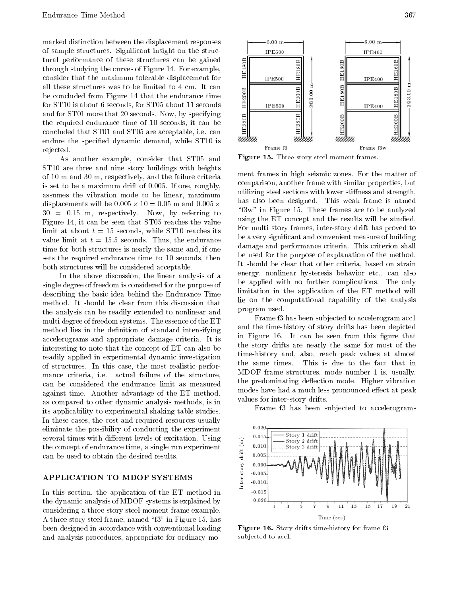marked distinction between the displacement responses of sample structures. Signicant insight on the structural performance of these structures can be gained<br>through studying the curves of Figure 14. For example through studying the curves of Figure 14. For example, consider that the maximum tolerable displacement for all these structures was to be limited to 4 cm. It can<br>be concluded from Figure 14 that the endurance time<br>for ST10 is about 6 seconds, for ST05 about 11 seconds be concluded from Figure 14 that the endurance time for ST10 is about 6 seconds, for ST05 about 11 seconds and for ST01 more that 20 seconds. Now, by specifying<br>the required endurance time of 10 seconds, it can be<br>concluded that ST01 and ST05 are acceptable, i.e. can the required endurance time of <sup>10</sup> seconds, it can be concluded that ST01 and ST05 are acceptable, i.e. can endure the specied dynamic demand, while ST10 is rejected.

As another example, consider that ST05 and ST10 are three and nine story buildings with heights of 10 m and 30 m, respectively, and the failure criteria is set to be a maximum drift of 0.005. If one, roughly, assumes the vibration mode to be linear, maximum displacements will be 0:05 and 0:05 - 0:05 - 0:05 m and 0:05 m and 0:05 m and 0:05 m and 0:05 m and 0:05 m and  $30 = 0.15$  m, respectively. Now, by referring to Figure 14, it can be seen that ST05 reaches the value limit at about  $t = 15$  seconds, while ST10 reaches its value limit at  $t = 15.5$  seconds. Thus, the endurance time for both structures is nearly the same and, if one sets the required endurance time to <sup>10</sup> seconds, then both structures will be considered acceptable.

In the above discussion, the linear analysis of <sup>a</sup> single degree of freedom is considered for the purpose of describing the basic idea behind the Endurance Time method. It should be clear from this discussion that the analysis can be readily extended to nonlinear and multi degree of freedom systems. The essence of the ET method lies in the definition of standard intensifying accelerograms and appropriate damage criteria. It is interesting to note that the concept of ET can also be readily applied in experimental dynamic investigation time-instory and,<br>of structures. In this case, the most realistic perfore the same times. of structures. In this case, the most realistic performance criteria, i.e. actual failure of the structure, can be considered the endurance limit as measured against time. Another advantage of the ET method, as compared to other dynamic analysis methods, is in its applicability to experimental shaking table studies. In these cases, the cost and required resources usually eliminate the possibility of conducting the experiment several times with different levels of excitation. Using<br>the concept of endurance time, a single run experiment<br>can be used to obtain the desired results.<br>APPLICATION TO MDOF SYSTEMS the concept of endurance time, a single run experiment can be used to obtain the desired results.

# APPLICATION TO MDOF SYSTEMS

In this section, the application of the ET method in the dynamic analysis of MDOF systems is explained by considering a three story steel moment frame example. A three story steel frame, named \f3" in Figure 15, has been designed in accordance with conventional loading and analysis procedures, appropriate for ordinary mo-



Figure 15. Three story steel moment frames.

" $3w$ " in Figure 15. These frames are to be analyzed ment frames in high seismic zones. For the matter of comparison, another frame with similar properties, but utilizing steel sections with lower stiffness and strength, has also been designed. This weak frame is named using the ET concept and the results will be studied. For multi story frames, inter-story drift has proved to be a very signicant and convenient measure of building damage and performance criteria. This criterion shall be used for the purpose of explanation of the method. It should be clear that other criteria, based on strain energy, nonlinear hysteresis behavior etc., can also be applied with no further complications. The only limitation in the application of the ET method will lie on the computational capability of the analysis program used.

Frame f3 has been sub jected to accelerogram acc1 and the time-history of story drifts has been depicted in Figure 16. It can be seen from this figure that the story drifts are nearly the same for most of the time-history and, also, reach peak values at almost This is due to the fact that in MDOF frame structures, mode number <sup>1</sup> is, usually, the predominating deflection mode. Higher vibration modes have had a much less pronounced effect at peak values for inter-story drifts.

Frame f3 has been subjected to accelerograms



Figure 16. Story drifts time-history for frame f3 subjected to acc1.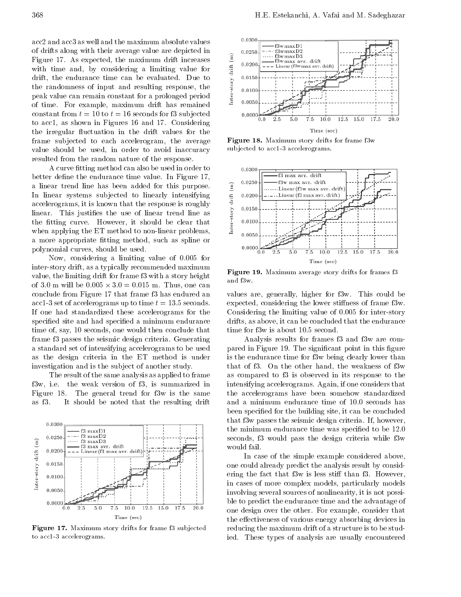acc2 and acc3 as well and the maximum absolute values of drifts along with their average value are depicted in  $\qquad$  0.0250 Figure 17. As expected, the maximum drift increases  $\qquad \qquad \widehat{\Xi}$ Figure 17. As expected, the maximum drift increases<br>with time and, by considering a limiting value for<br>drift, the endurance time can be evaluated. Due to<br>the randomness of input and resulting response, the<br>peak value can with time and, by considering <sup>a</sup> limiting value for drift, the endurance time can be evaluated. Due to the randomness of input and resulting response, the peak value can remain constant for a prolonged period of time. For example, maximum drift has remained constant from  $t = 10$  to  $t = 16$  seconds for f3 subjected  $\qquad \qquad 0.000$ to acc1, as shown in Figures <sup>16</sup> and 17. Considering the irregular fluctuation in the drift values for the frame subjected to each accelerogram, the average value should be used, in order to avoid inaccuracy resulted from the random nature of the response.

A curve fitting method can also be used in order to better define the endurance time value. In Figure 17, <sup>a</sup> linear trend line has been added for this purpose. In linear systems subjected to linearly intensifying<br>accelerograms, it is known that the response is roughly<br>linear. This justifies the use of linear trend line as<br>the fitting curve. However, it should be clear that<br>when accelerograms, it is known that the response is roughly linear. This justifies the use of linear trend line as the fitting curve. However, it should be clear that when applying the ET method to non-linear problems, a more appropriate fitting method, such as spline or polynomial curves, should be used.

Now, considering <sup>a</sup> limiting value of 0.005 for inter-story drift, as a typically recommended maximum value, the limiting drift for frame f3 with a story height  $\frac{r \cdot g dr}{\text{and } f_{3w}}$ of 3.0 m will be 0:005 - <sup>3</sup>:0=0:015 m. Thus, one can conclude from Figure 17 that frame f3 has endured an acc1-3 set of accelerograms up to time  $t= 13.5$  seconds. If one had standardized these accelerograms for the specified site and had specified a minimum endurance time of, say, 10 seconds, one would then conclude that frame f3 passes the seismic design criteria. Generating <sup>a</sup> standard set of intensifying accelerograms to be used as the design criteria in the ET method is under investigation and is the sub ject of another study.

The result of the same analysis as applied to frame f3w, i.e. the weak version of f3, is summarized in Figure 18. The general trend for f3w is the same as f3. It should be noted that the resulting drift



Figure 17. Maximum story drifts for frame f3 sub jected to acc1-3 accelerograms.



Figure 18. Maximum story drifts for frame f3w subjected to acc1-3 accelerograms.



 $\blacksquare$   $\blacksquare$   $\blacksquare$   $\blacksquare$   $\blacksquare$   $\blacksquare$   $\blacksquare$   $\blacksquare$   $\blacksquare$   $\blacksquare$   $\blacksquare$   $\blacksquare$   $\blacksquare$   $\blacksquare$   $\blacksquare$   $\blacksquare$   $\blacksquare$   $\blacksquare$   $\blacksquare$   $\blacksquare$   $\blacksquare$   $\blacksquare$   $\blacksquare$   $\blacksquare$   $\blacksquare$   $\blacksquare$   $\blacksquare$   $\blacksquare$   $\blacksquare$   $\blacksquare$   $\blacksquare$   $\blacks$ 

values are, generally, higher for f3w. This could be expected, considering the lower stiffness of frame f3w. Considering the limiting value of 0.005 for inter-story drifts, as above, it can be concluded that the endurance time for f3w is about 10.5 second.

Analysis results for frames f3 and f3w are compared in Figure 19. The significant point in this figure is the endurance time for f3w being clearly lower than that of f3. On the other hand, the weakness of f3w as compared to f3 is observed in its response to the intensifying accelerograms. Again, if one considers that the accelerograms have been somehow standardized and <sup>a</sup> minimum endurance time of 10.0 seconds has been specied for the building site, it can be concluded that f3w passes the seismic design criteria. If, however, the minimum endurance time was specified to be 12.0 seconds, f3 would pass the design criteria while f3w would fail.

In case of the simple example considered above, one could already predict the analysis result by considering the fact that f3w is less stiff than f3. However, in cases of more complex models, particularly models involving several sources of nonlinearity, it is not possible to predict the endurance time and the advantage of one design over the other. For example, consider that the effectiveness of various energy absorbing devices in reducing the maximum drift of a structure is to be studied. These types of analysis are usually encountered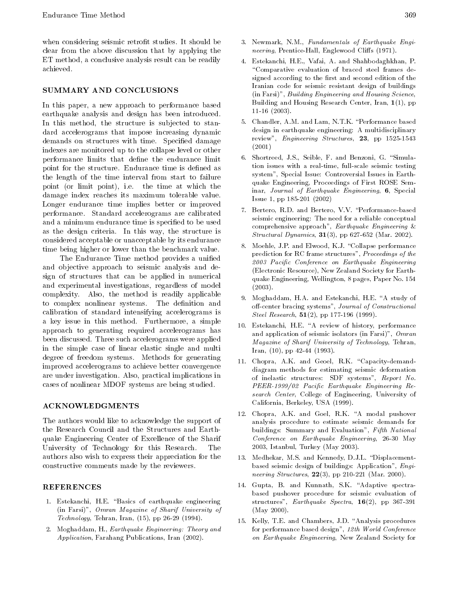when considering seismic retrofit studies. It should be clear from the above discussion that by applying the ET method, a conclusive analysis result can be readily achieved.

## SUMMARY AND CONCLUSIONS

In this paper, <sup>a</sup> new approach to performance based earthquake analysis and design has been introduced. In this method, the structure is subjected to standard accelerograms that impose increasing dynamic demands on structures with time. Specied damage indexes are monitored up to the collapse level or other performance limits that define the endurance limit point for the structure. Endurance time is defined as the length of the time interval from start to failure point (or limit point), i.e. the time at which the damage index reaches its maximum tolerable value. Longer endurance time implies better or improved performance. Standard accelerograms are calibrated and a minimum endurance time is specified to be used as the design criteria. In this way, the structure is considered acceptable or unacceptable by its endurance time being higher or lower than the benchmark value.

The Endurance Time method provides a unified and ob jective approach to seismic analysis and design of structures that can be applied in numerical and experimental investigations, regardless of model complexity. Also, the method is readily applicable to complex nonlinear systems. The definition and calibration of standard intensifying accelerograms is <sup>a</sup> key issue in this method. Furthermore, <sup>a</sup> simple approach to generating required accelerograms has been discussed. Three such accelerograms were applied in the simple case of linear elastic single and multi degree of freedom systems. Methods for generating improved accelerograms to achieve better convergence are under investigation. Also, practical implications in cases of nonlinear MDOF systems are being studied.

# ACKNOWLEDGMENTS

The authors would like to acknowledge the support of the Research Council and the Structures and Earthquake Engineering Center of Excellence of the Sharif University of Technology for this Research. The authors also wish to express their appreciation for the constructive comments made by the reviewers.

# REFERENCES

- 1. Estekanchi, H.E. "Basics of earthquake engineering (in Farsi)", Omran Magazine of Sharif University of Technology, Tehran, Iran, (15), pp 26-29 (1994).
- 2. Moghaddam, H., Earthquake Engineering: Theory and Application, Farahang Publications, Iran (2002).
- 3. Newmark, N.M., Fundamentals of Earthquake Engi neering, Prentice-Hall, Englewood Cliffs (1971).
- 4. Estekanchi, H.E., Vafai, A. and Shahbodaghkhan, P. \Comparative evaluation of braced steel frames designed according to the first and second edition of the Iranian code for seismic resistant design of buildings (in Farsi)", Building Engineering and Housing Science, Building and Housing Research Center, Iran, 1(1), pp 11-16 (2003).
- 5. Chandler, A.M. and Lam, N.T.K. \Performance based design in earthquake engineering: A multidisciplinary review", Engineering Structures, 23, pp 1525-1543 (2001)
- 6. Shortreed, J.S., Seible, F. and Benzoni, G. "Simulation issues with <sup>a</sup> real-time, full-scale seismic testing system", Special Issue: Controversial Issues in Earthquake Engineering, Proceedings of First ROSE Seminar, Journal of Earthquake Engineering, 6, Special Issue 1, pp 185-201 (2002)
- 7. Bertero, R.D. and Bertero, V.V. "Performance-based seismic engineering: The need for a reliable conceptual comprehensive approach", Earthquake Engineering & *Structural Dynamics*,  $31(3)$ , pp 627-652 (Mar. 2002).
- 8. Moehle, J.P. and Elwood, K.J. "Collapse performance prediction for RC frame structures", Proceedings of the <sup>2003</sup> Pacic Conference on Earthquake Engineering (Electronic Resource), New Zealand Society for Earthquake Engineering, Wellington, 8 pages, Paper No. 154 (2003).
- 9. Moghaddam, H.A. and Estekanchi, H.E. "A study of off-center bracing systems", Journal of Constructional Steel Research, 51(2), pp 177-196 (1999).
- 10. Estekanchi, H.E. "A review of history, performance and application of seismic isolators (in Farsi)", Omran Magazine of Sharif University of Technology, Tehran, Iran, (10), pp 42-44 (1993).
- 11. Chopra, A.K. and Geoel, R.K. "Capacity-demanddiagram methods for estimating seismic deformation of inelastic structures: SDF systems", Report No. PEER-1999/02 Pacific Earthquake Engineering Research Center, College of Engineering, University of California, Berkeley, USA (1999).
- 12. Chopra, A.K. and Goel, R.K. "A modal pushover analysis procedure to estimate seismic demands for buildings: Summary and Evaluation", Fifth National Conference on Earthquake Engineering, 26-30 May 2003, Istanbul, Turkey (May 2003).
- 13. Medhekar, M.S. and Kennedy, D.J.L. "Displacementbased seismic design of buildings: Application", Engi *neering Structures*,  $22(3)$ , pp 210-221 (Mar. 2000).
- 14. Gupta, B. and Kunnath, S.K. "Adaptive spectrabased pushover procedure for seismic evaluation of structures", Earthquake Spectra, 16(2), pp 367-391 (May 2000).
- 15. Kelly, T.E. and Chambers, J.D. \Analysis procedures for performance based design", 12th World Conference on Earthquake Engineering, New Zealand Society for